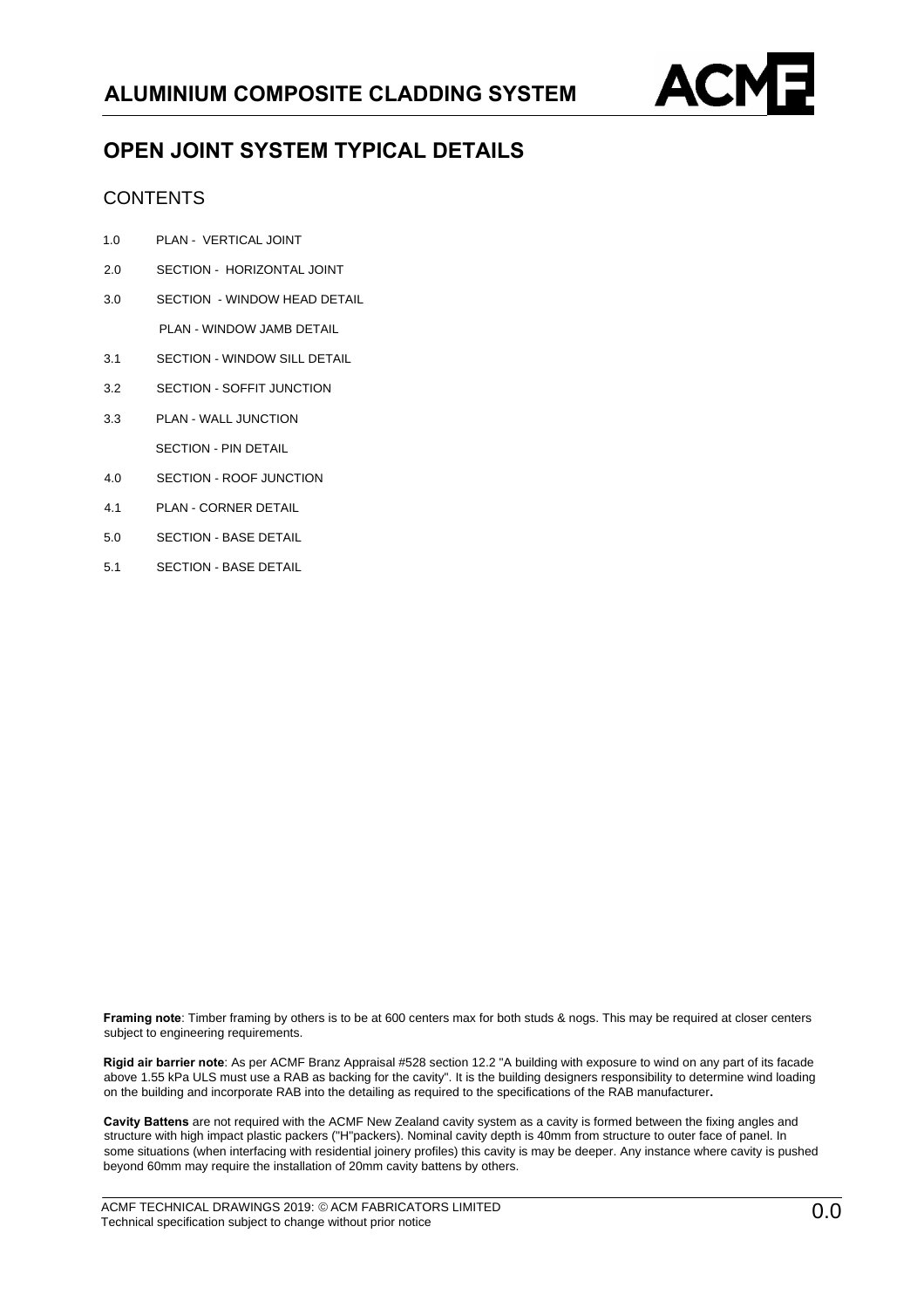

## **OPEN JOINT SYSTEM TYPICAL DETAILS**

## **CONTENTS**

- 1.0 PLAN VERTICAL JOINT
- 2.0 SECTION HORIZONTAL JOINT
- 3.0 SECTION WINDOW HEAD DETAIL

PLAN - WINDOW JAMB DETAIL

- 3.1 SECTION WINDOW SILL DETAIL
- 3.2 SECTION SOFFIT JUNCTION
- 3.3 PLAN WALL JUNCTION SECTION - PIN DETAIL
- 4.0 SECTION ROOF JUNCTION
- 4.1 PLAN CORNER DETAIL
- 5.0 SECTION BASE DETAIL
- 5.1 SECTION BASE DETAIL

**Framing note**: Timber framing by others is to be at 600 centers max for both studs & nogs. This may be required at closer centers subject to engineering requirements.

**Rigid air barrier note**: As per ACMF Branz Appraisal #528 section 12.2 "A building with exposure to wind on any part of its facade above 1.55 kPa ULS must use a RAB as backing for the cavity". It is the building designers responsibility to determine wind loading on the building and incorporate RAB into the detailing as required to the specifications of the RAB manufacturer**.**

**Cavity Battens** are not required with the ACMF New Zealand cavity system as a cavity is formed between the fixing angles and structure with high impact plastic packers ("H"packers). Nominal cavity depth is 40mm from structure to outer face of panel. In some situations (when interfacing with residential joinery profiles) this cavity is may be deeper. Any instance where cavity is pushed beyond 60mm may require the installation of 20mm cavity battens by others.

ACMF TECHNICAL DRAWINGS 2019: © ACM FABRICATORS LIMITED Technical specification subject to change without prior notice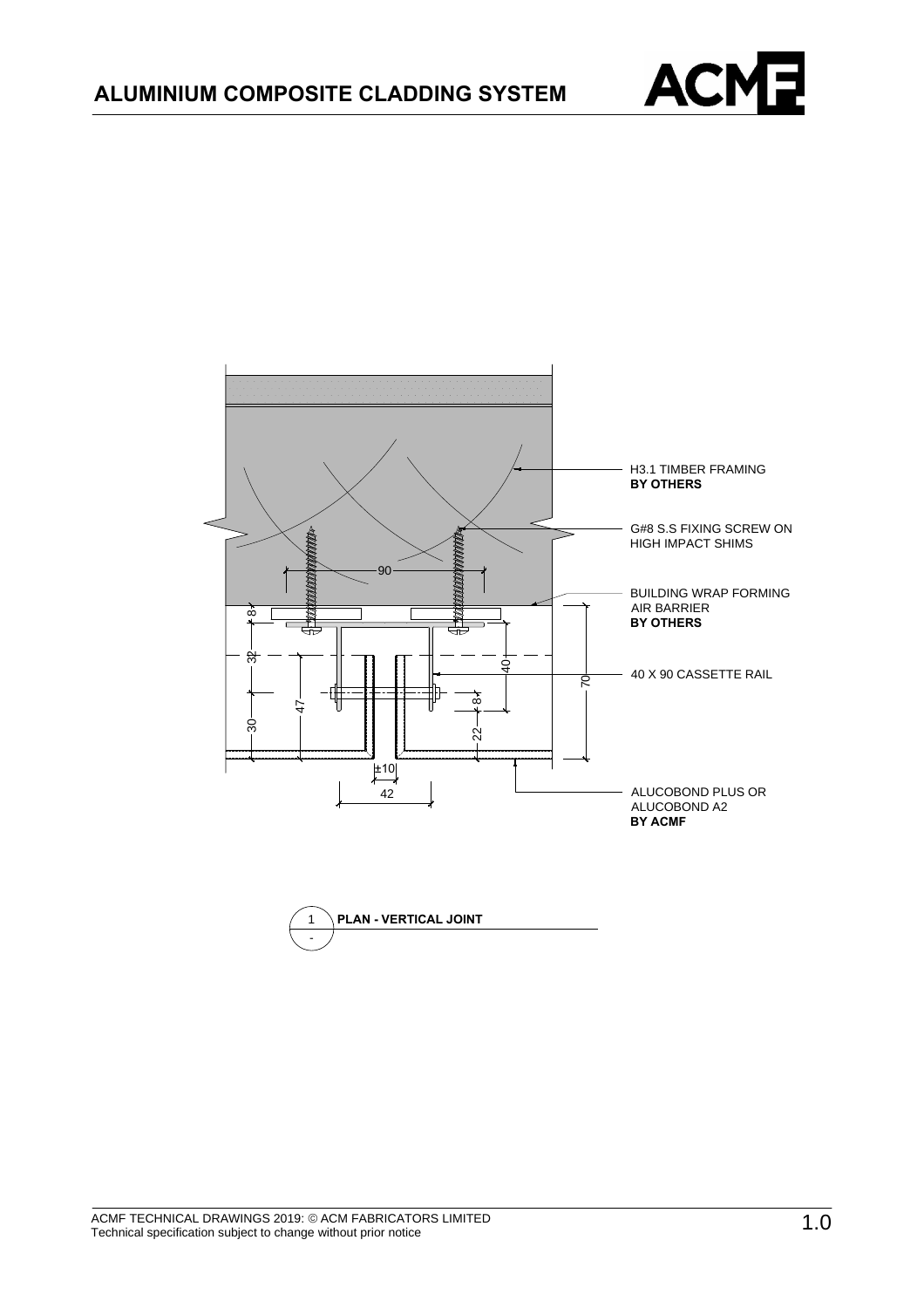



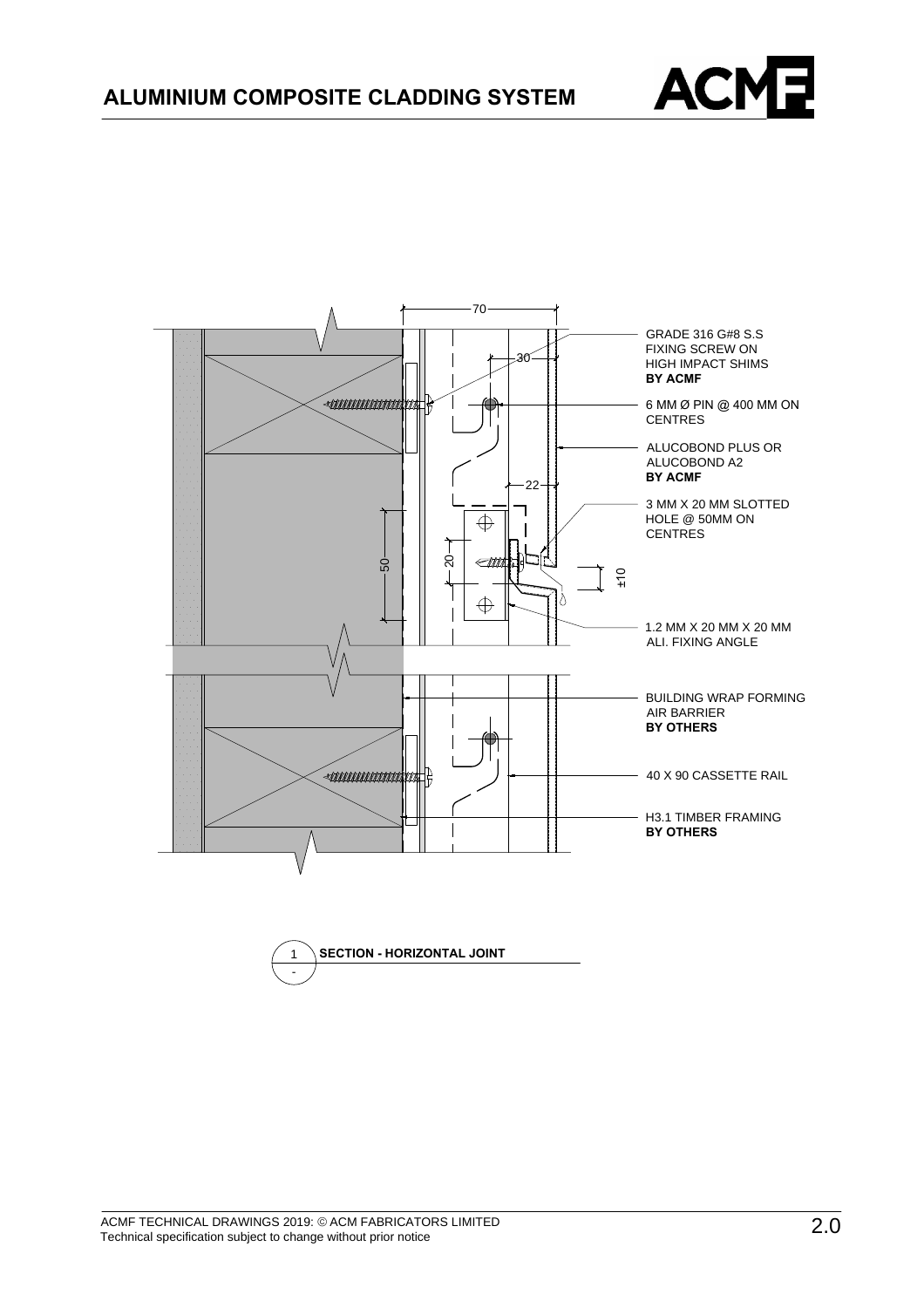



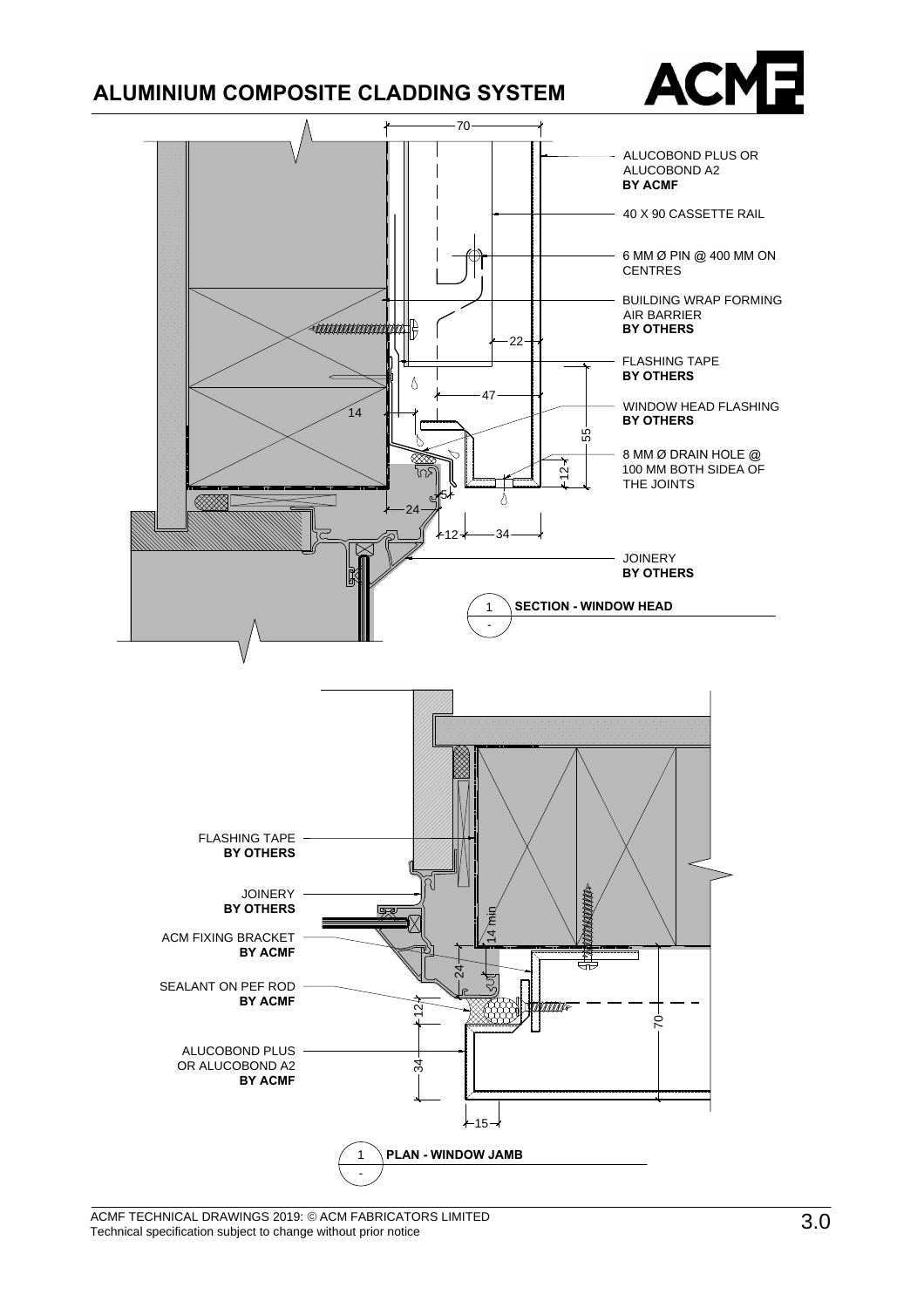## **ALUMINIUM COMPOSITE CLADDING SYSTEM**





ACMF TECHNICAL DRAWINGS 2019: © ACM FABRICATORS LIMITED Technical specification subject to change without prior notice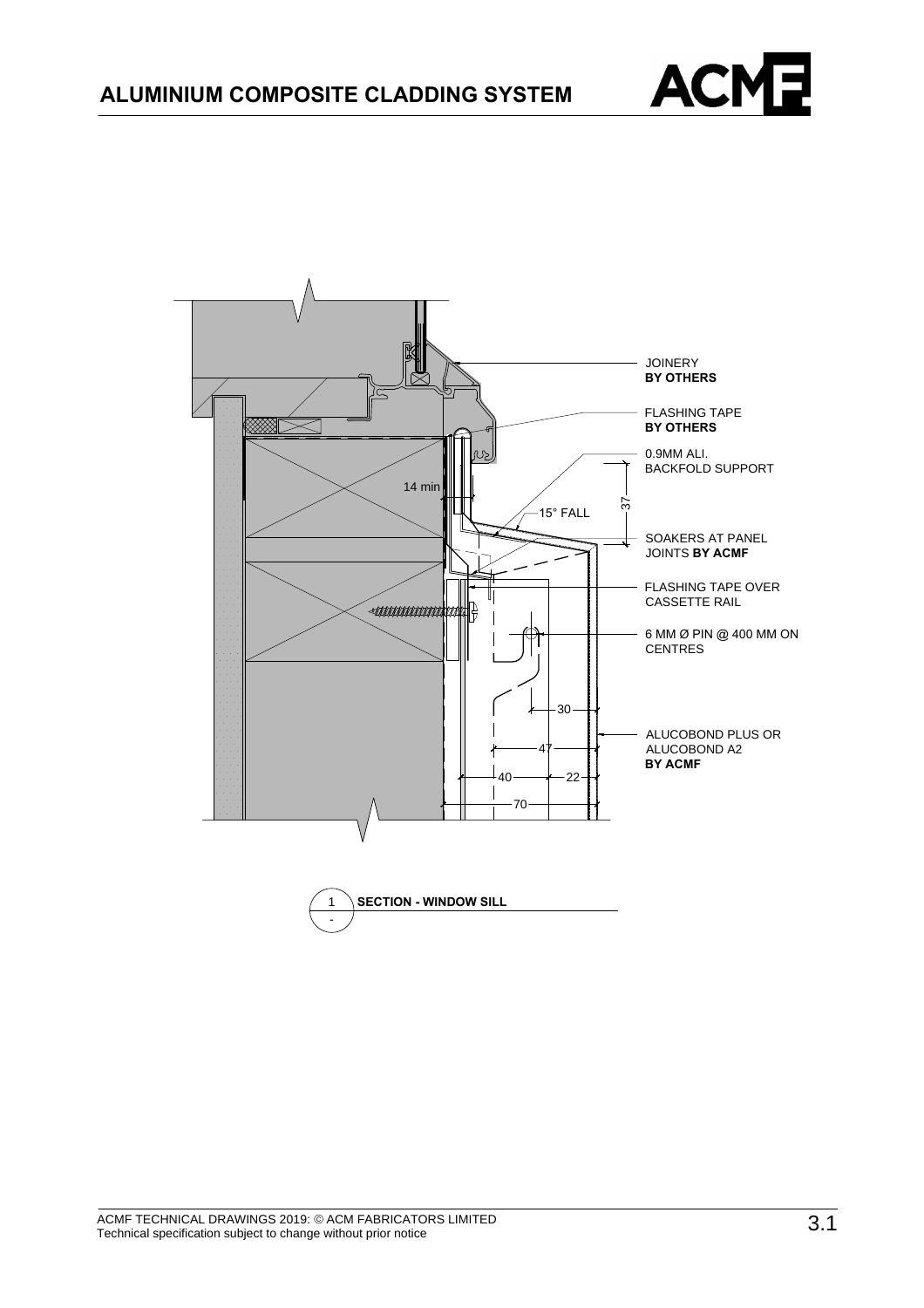

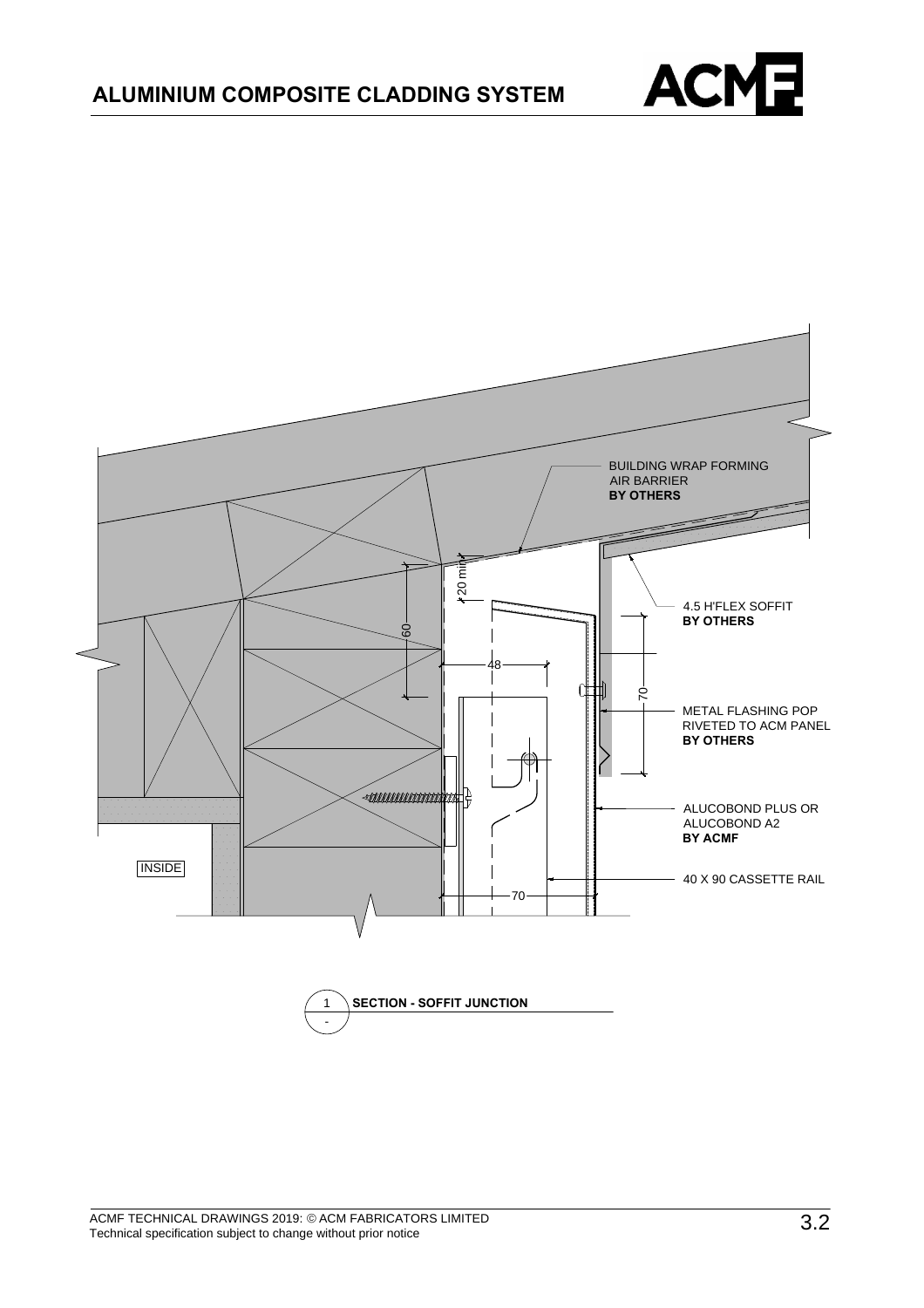

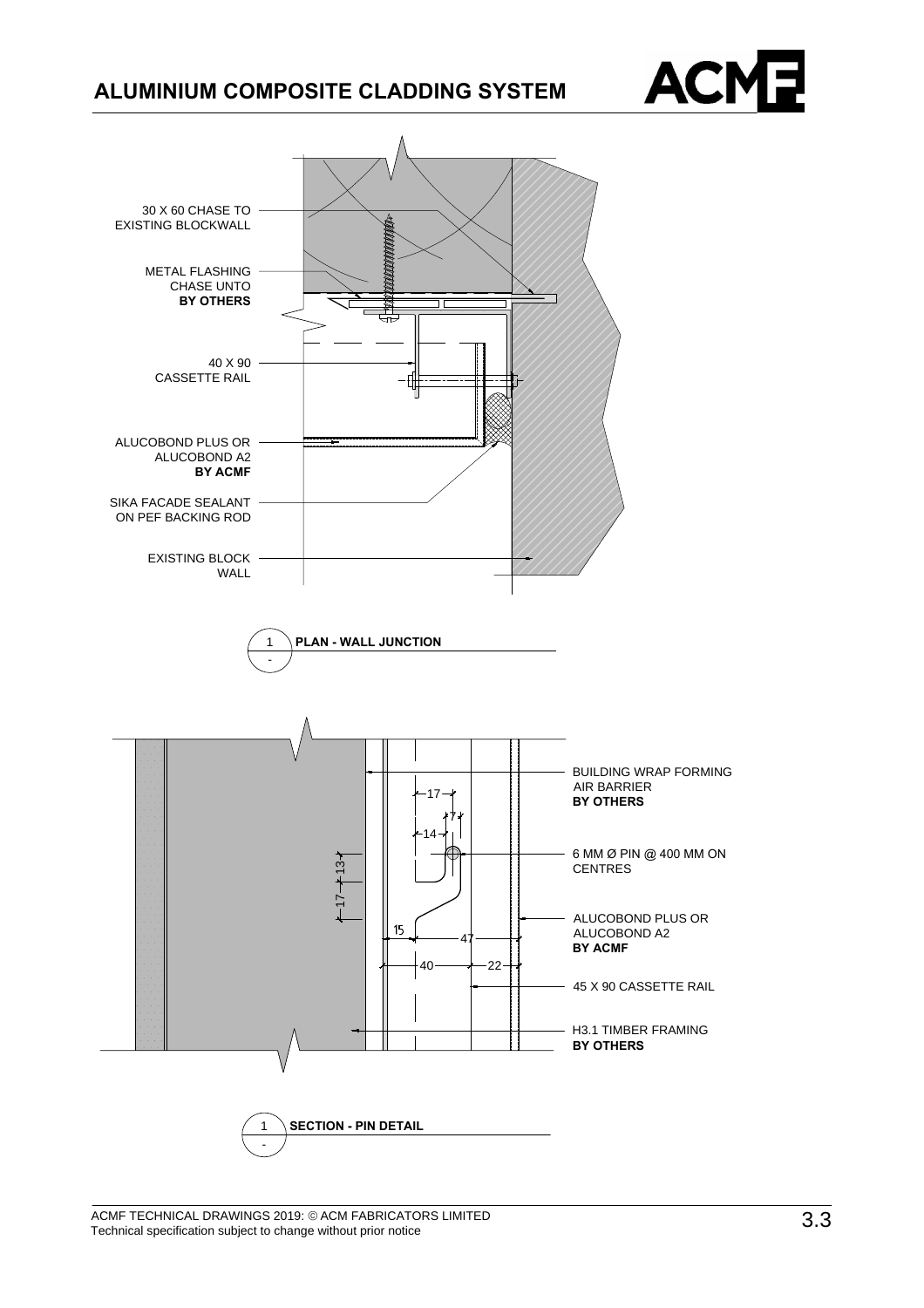



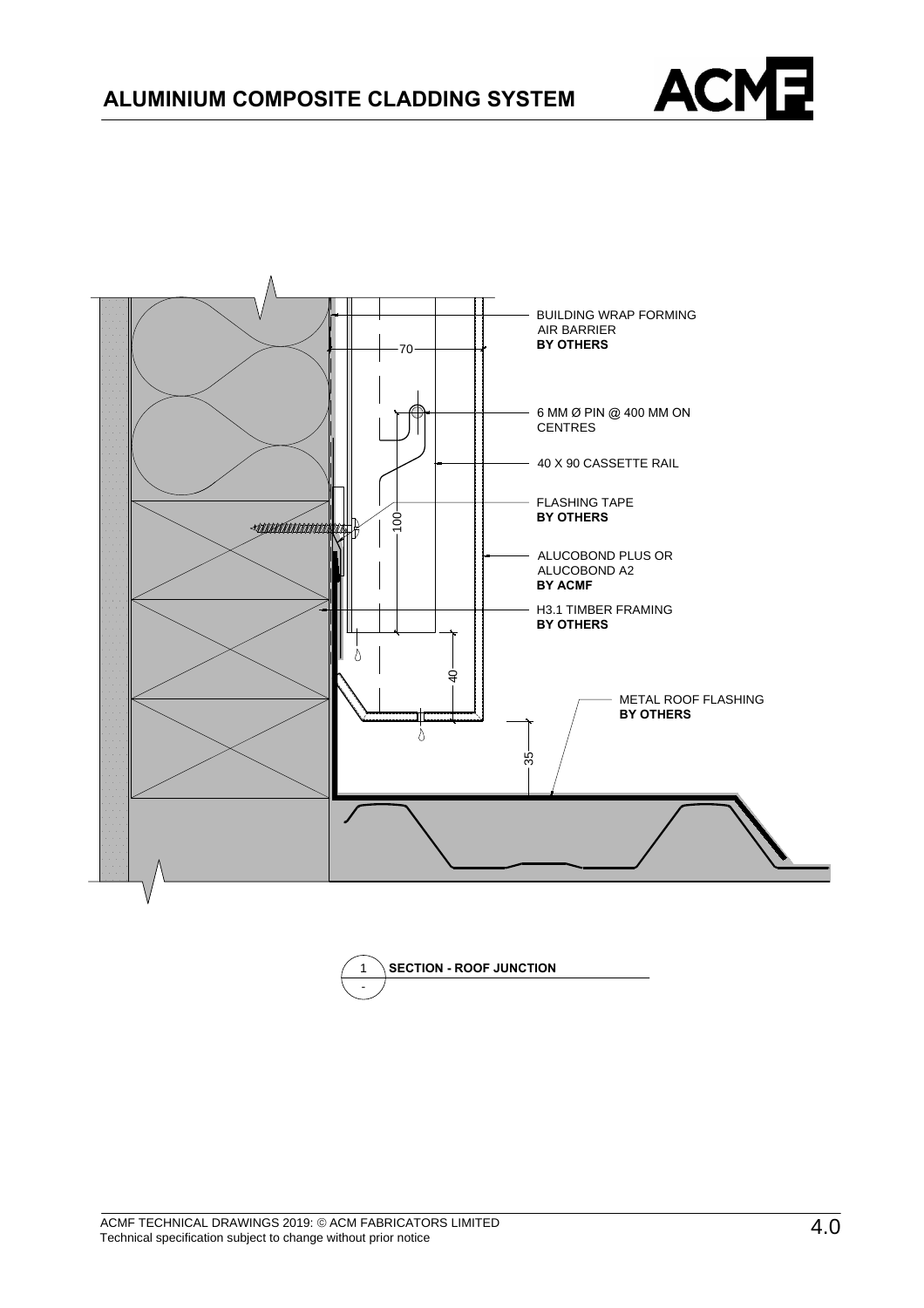



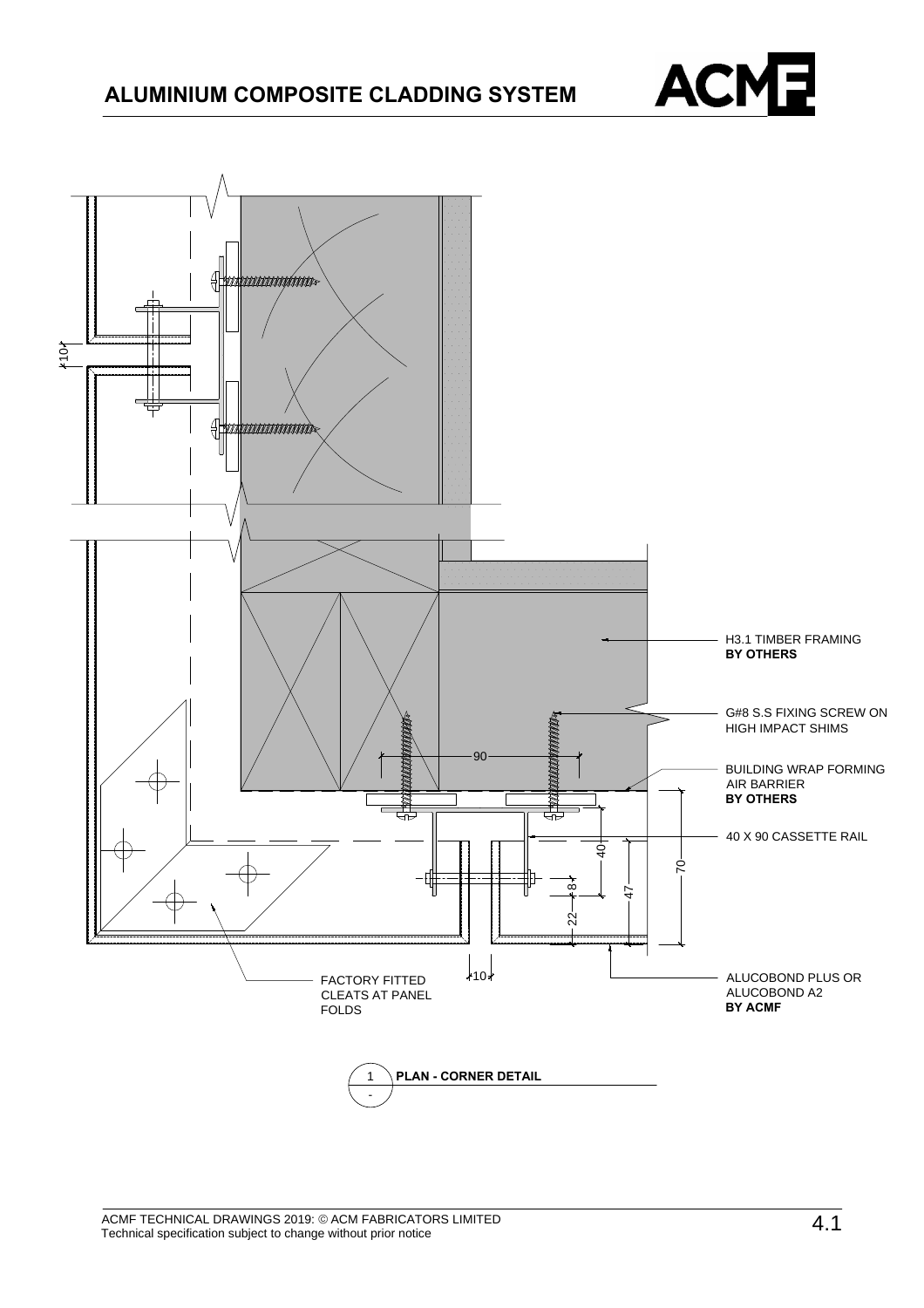

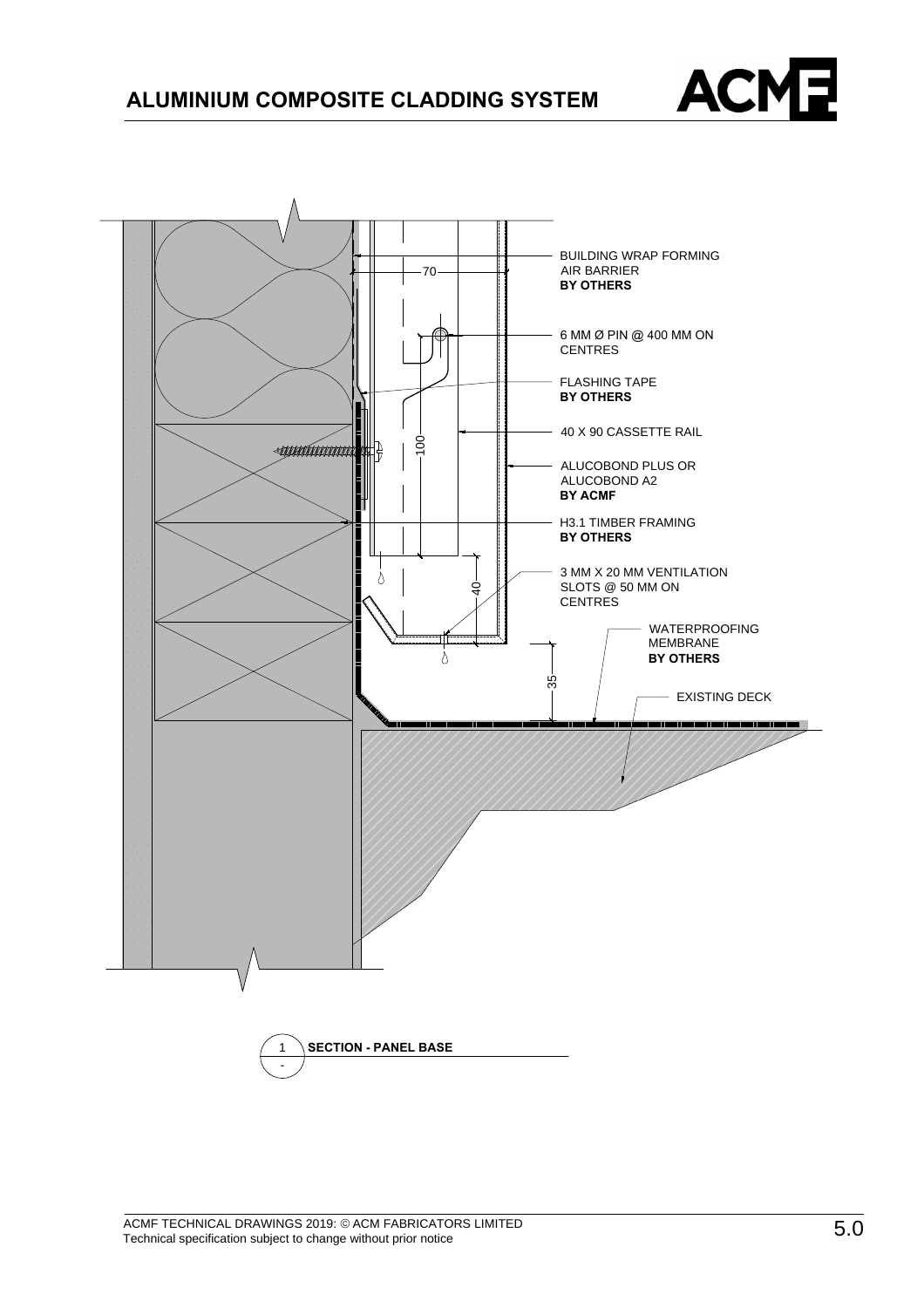